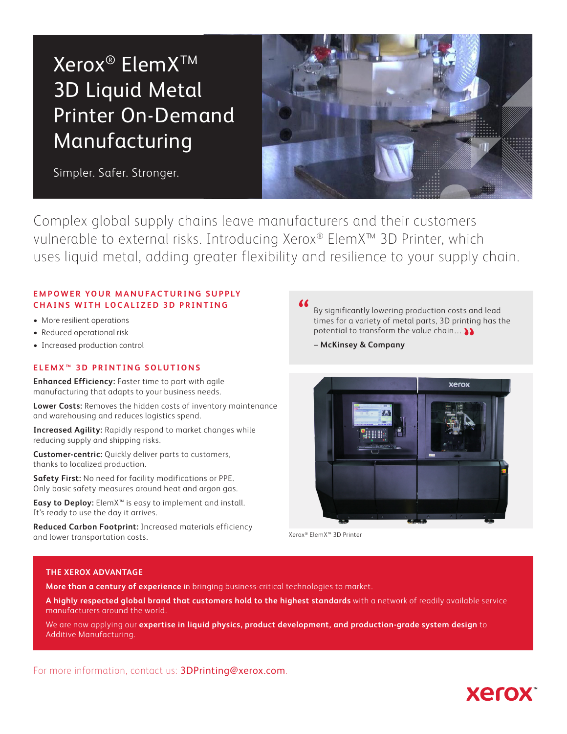# Xerox<sup>®</sup> ElemX<sup>™</sup> 3D Liquid Metal Printer On-Demand Manufacturing

Simpler. Safer. Stronger.



Complex global supply chains leave manufacturers and their customers vulnerable to external risks. Introducing Xerox® ElemX™ 3D Printer, which uses liquid metal, adding greater flexibility and resilience to your supply chain.

# **EMPOWER YOUR MANUFACTURING SUPPLY CHAINS WITH LOCALIZED 3D PRINTING**

- More resilient operations
- Reduced operational risk
- Increased production control

# **ELEMX™ 3D PRINTING SOLUTIONS**

**Enhanced Efficiency:** Faster time to part with agile manufacturing that adapts to your business needs.

**Lower Costs:** Removes the hidden costs of inventory maintenance and warehousing and reduces logistics spend.

**Increased Agility:** Rapidly respond to market changes while reducing supply and shipping risks.

**Customer-centric:** Quickly deliver parts to customers, thanks to localized production.

**Safety First:** No need for facility modifications or PPE. Only basic safety measures around heat and argon gas.

**Easy to Deploy:** ElemX™ is easy to implement and install. It's ready to use the day it arrives.

**Reduced Carbon Footprint:** Increased materials efficiency and lower transportation costs.

By significantly lowering production costs and lead times for a variety of metal parts, 3D printing has the potential to transform the value chain… **""**

– **McKinsey & Company**



**Xerox** 

Xerox® ElemX™ 3D Printer

## **THE XEROX ADVANTAGE**

**More than a century of experience** in bringing business-critical technologies to market.

**A highly respected global brand that customers hold to the highest standards** with a network of readily available service manufacturers around the world.

We are now applying our **expertise in liquid physics, product development, and production-grade system design** to Additive Manufacturing.

For more information, contact us: 3DPrinting@xerox.com.